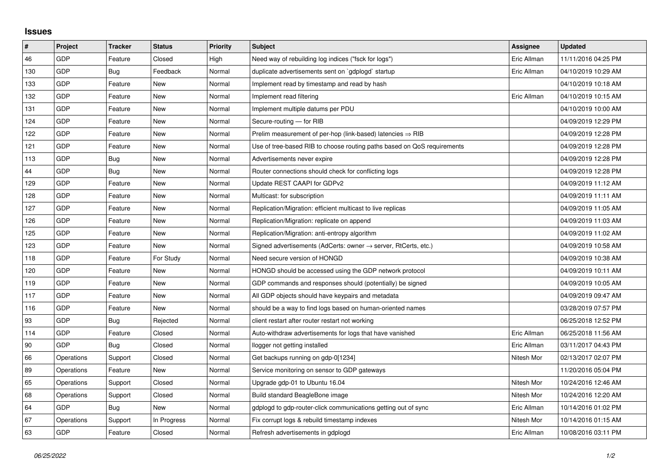## **Issues**

| $\vert$ # | Project    | <b>Tracker</b> | <b>Status</b> | <b>Priority</b> | <b>Subject</b>                                                             | <b>Assignee</b> | <b>Updated</b>      |
|-----------|------------|----------------|---------------|-----------------|----------------------------------------------------------------------------|-----------------|---------------------|
| 46        | GDP        | Feature        | Closed        | High            | Need way of rebuilding log indices ("fsck for logs")                       | Eric Allman     | 11/11/2016 04:25 PM |
| 130       | GDP        | Bug            | Feedback      | Normal          | duplicate advertisements sent on `gdplogd` startup                         | Eric Allman     | 04/10/2019 10:29 AM |
| 133       | GDP        | Feature        | New           | Normal          | Implement read by timestamp and read by hash                               |                 | 04/10/2019 10:18 AM |
| 132       | GDP        | Feature        | <b>New</b>    | Normal          | Implement read filtering                                                   | Eric Allman     | 04/10/2019 10:15 AM |
| 131       | GDP        | Feature        | <b>New</b>    | Normal          | Implement multiple datums per PDU                                          |                 | 04/10/2019 10:00 AM |
| 124       | GDP        | Feature        | New           | Normal          | Secure-routing - for RIB                                                   |                 | 04/09/2019 12:29 PM |
| 122       | GDP        | Feature        | <b>New</b>    | Normal          | Prelim measurement of per-hop (link-based) latencies $\Rightarrow$ RIB     |                 | 04/09/2019 12:28 PM |
| 121       | GDP        | Feature        | New           | Normal          | Use of tree-based RIB to choose routing paths based on QoS requirements    |                 | 04/09/2019 12:28 PM |
| 113       | GDP        | Bug            | New           | Normal          | Advertisements never expire                                                |                 | 04/09/2019 12:28 PM |
| 44        | GDP        | Bug            | New           | Normal          | Router connections should check for conflicting logs                       |                 | 04/09/2019 12:28 PM |
| 129       | GDP        | Feature        | New           | Normal          | Update REST CAAPI for GDPv2                                                |                 | 04/09/2019 11:12 AM |
| 128       | GDP        | Feature        | New           | Normal          | Multicast: for subscription                                                |                 | 04/09/2019 11:11 AM |
| 127       | GDP        | Feature        | <b>New</b>    | Normal          | Replication/Migration: efficient multicast to live replicas                |                 | 04/09/2019 11:05 AM |
| 126       | GDP        | Feature        | New           | Normal          | Replication/Migration: replicate on append                                 |                 | 04/09/2019 11:03 AM |
| 125       | GDP        | Feature        | New           | Normal          | Replication/Migration: anti-entropy algorithm                              |                 | 04/09/2019 11:02 AM |
| 123       | GDP        | Feature        | <b>New</b>    | Normal          | Signed advertisements (AdCerts: owner $\rightarrow$ server, RtCerts, etc.) |                 | 04/09/2019 10:58 AM |
| 118       | GDP        | Feature        | For Study     | Normal          | Need secure version of HONGD                                               |                 | 04/09/2019 10:38 AM |
| 120       | GDP        | Feature        | New           | Normal          | HONGD should be accessed using the GDP network protocol                    |                 | 04/09/2019 10:11 AM |
| 119       | GDP        | Feature        | <b>New</b>    | Normal          | GDP commands and responses should (potentially) be signed                  |                 | 04/09/2019 10:05 AM |
| 117       | GDP        | Feature        | New           | Normal          | All GDP objects should have keypairs and metadata                          |                 | 04/09/2019 09:47 AM |
| 116       | GDP        | Feature        | New           | Normal          | should be a way to find logs based on human-oriented names                 |                 | 03/28/2019 07:57 PM |
| 93        | GDP        | Bug            | Rejected      | Normal          | client restart after router restart not working                            |                 | 06/25/2018 12:52 PM |
| 114       | GDP        | Feature        | Closed        | Normal          | Auto-withdraw advertisements for logs that have vanished                   | Eric Allman     | 06/25/2018 11:56 AM |
| 90        | GDP        | Bug            | Closed        | Normal          | llogger not getting installed                                              | Eric Allman     | 03/11/2017 04:43 PM |
| 66        | Operations | Support        | Closed        | Normal          | Get backups running on gdp-0[1234]                                         | Nitesh Mor      | 02/13/2017 02:07 PM |
| 89        | Operations | Feature        | New           | Normal          | Service monitoring on sensor to GDP gateways                               |                 | 11/20/2016 05:04 PM |
| 65        | Operations | Support        | Closed        | Normal          | Upgrade gdp-01 to Ubuntu 16.04                                             | Nitesh Mor      | 10/24/2016 12:46 AM |
| 68        | Operations | Support        | Closed        | Normal          | Build standard BeagleBone image                                            | Nitesh Mor      | 10/24/2016 12:20 AM |
| 64        | GDP        | Bug            | New           | Normal          | gdplogd to gdp-router-click communications getting out of sync             | Eric Allman     | 10/14/2016 01:02 PM |
| 67        | Operations | Support        | In Progress   | Normal          | Fix corrupt logs & rebuild timestamp indexes                               | Nitesh Mor      | 10/14/2016 01:15 AM |
| 63        | GDP        | Feature        | Closed        | Normal          | Refresh advertisements in gdplogd                                          | Eric Allman     | 10/08/2016 03:11 PM |